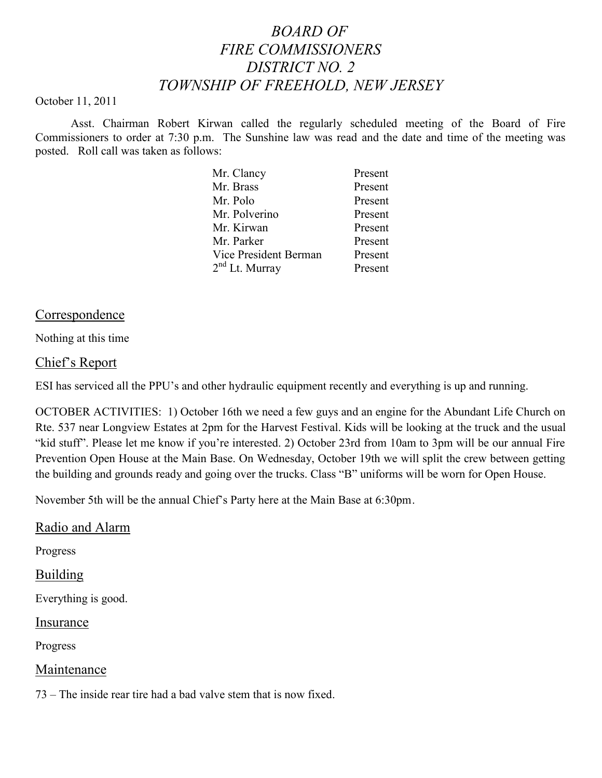# *BOARD OF FIRE COMMISSIONERS DISTRICT NO. 2 TOWNSHIP OF FREEHOLD, NEW JERSEY*

#### October 11, 2011

Asst. Chairman Robert Kirwan called the regularly scheduled meeting of the Board of Fire Commissioners to order at 7:30 p.m. The Sunshine law was read and the date and time of the meeting was posted. Roll call was taken as follows:

| Mr. Clancy                 | Present |
|----------------------------|---------|
| Mr. Brass                  | Present |
| Mr. Polo                   | Present |
| Mr. Polverino              | Present |
| Mr. Kirwan                 | Present |
| Mr. Parker                 | Present |
| Vice President Berman      | Present |
| 2 <sup>nd</sup> Lt. Murray | Present |
|                            |         |

### Correspondence

Nothing at this time

### Chief's Report

ESI has serviced all the PPU's and other hydraulic equipment recently and everything is up and running.

OCTOBER ACTIVITIES: 1) October 16th we need a few guys and an engine for the Abundant Life Church on Rte. 537 near Longview Estates at 2pm for the Harvest Festival. Kids will be looking at the truck and the usual "kid stuff". Please let me know if you're interested. 2) October 23rd from 10am to 3pm will be our annual Fire Prevention Open House at the Main Base. On Wednesday, October 19th we will split the crew between getting the building and grounds ready and going over the trucks. Class "B" uniforms will be worn for Open House.

November 5th will be the annual Chief's Party here at the Main Base at 6:30pm.

### Radio and Alarm

Progress

## Building

Everything is good.

### Insurance

Progress

### Maintenance

73 – The inside rear tire had a bad valve stem that is now fixed.